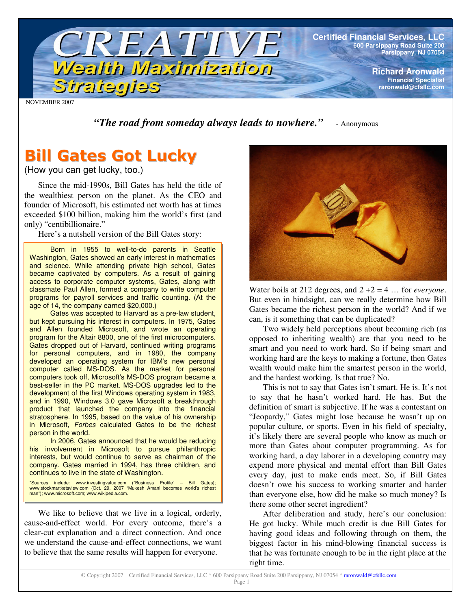

NOVEMBER 2007

*"The road from someday always leads to nowhere."* - Anonymous

# **Bill Gates Got Lucky**

(How you can get lucky, too.)

Since the mid-1990s, Bill Gates has held the title of the wealthiest person on the planet. As the CEO and founder of Microsoft, his estimated net worth has at times exceeded \$100 billion, making him the world's first (and only) "centibillionaire."

Here's a nutshell version of the Bill Gates story:

Born in 1955 to well-to-do parents in Seattle Washington, Gates showed an early interest in mathematics and science. While attending private high school, Gates became captivated by computers. As a result of gaining access to corporate computer systems, Gates, along with classmate Paul Allen, formed a company to write computer programs for payroll services and traffic counting. (At the age of 14, the company earned \$20,000.)

Gates was accepted to Harvard as a pre-law student, but kept pursuing his interest in computers. In 1975, Gates and Allen founded Microsoft, and wrote an operating program for the Altair 8800, one of the first microcomputers. Gates dropped out of Harvard, continued writing programs for personal computers, and in 1980, the company developed an operating system for IBM's new personal computer called MS-DOS. As the market for personal computers took off, Microsoft's MS-DOS program became a best-seller in the PC market. MS-DOS upgrades led to the development of the first Windows operating system in 1983, and in 1990, Windows 3.0 gave Microsoft a breakthrough product that launched the company into the financial stratosphere. In 1995, based on the value of his ownership in Microsoft, *Forbes* calculated Gates to be the richest person in the world.

In 2006, Gates announced that he would be reducing his involvement in Microsoft to pursue philanthropic interests, but would continue to serve as chairman of the company. Gates married in 1994, has three children, and continues to live in the state of Washington.

\*Sources include: www.investingvalue.com ("Business Profile" – Bill Gates); www.stockmartketsview.com (Oct. 29, 2007 "Mukesh Amani becomes world's richest man"); www.microsoft.com; www.wikipedia.com.

We like to believe that we live in a logical, orderly, cause-and-effect world. For every outcome, there's a clear-cut explanation and a direct connection. And once we understand the cause-and-effect connections, we want to believe that the same results will happen for everyone.



Water boils at 212 degrees, and 2 +2 = 4 … for *everyone*. But even in hindsight, can we really determine how Bill Gates became the richest person in the world? And if we can, is it something that can be duplicated?

Two widely held perceptions about becoming rich (as opposed to inheriting wealth) are that you need to be smart and you need to work hard. So if being smart and working hard are the keys to making a fortune, then Gates wealth would make him the smartest person in the world, and the hardest working. Is that true? No.

This is not to say that Gates isn't smart. He is. It's not to say that he hasn't worked hard. He has. But the definition of smart is subjective. If he was a contestant on "Jeopardy," Gates might lose because he wasn't up on popular culture, or sports. Even in his field of specialty, it's likely there are several people who know as much or more than Gates about computer programming. As for working hard, a day laborer in a developing country may expend more physical and mental effort than Bill Gates every day, just to make ends meet. So, if Bill Gates doesn't owe his success to working smarter and harder than everyone else, how did he make so much money? Is there some other secret ingredient?

After deliberation and study, here's our conclusion: He got lucky. While much credit is due Bill Gates for having good ideas and following through on them, the biggest factor in his mind-blowing financial success is that he was fortunate enough to be in the right place at the right time.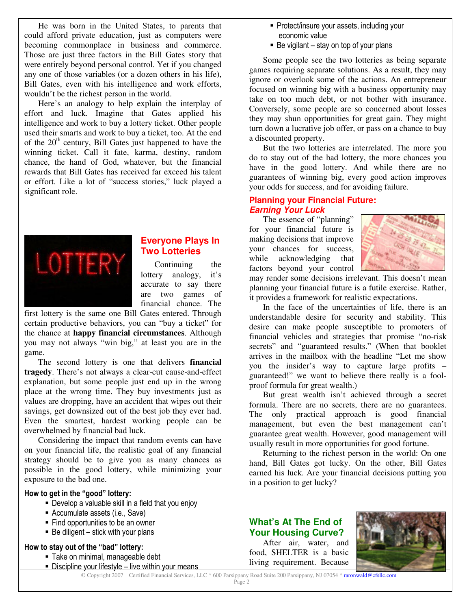He was born in the United States, to parents that could afford private education, just as computers were becoming commonplace in business and commerce. Those are just three factors in the Bill Gates story that were entirely beyond personal control. Yet if you changed any one of those variables (or a dozen others in his life), Bill Gates, even with his intelligence and work efforts, wouldn't be the richest person in the world.

Here's an analogy to help explain the interplay of effort and luck. Imagine that Gates applied his intelligence and work to buy a lottery ticket. Other people used their smarts and work to buy a ticket, too. At the end of the 20<sup>th</sup> century, Bill Gates just happened to have the winning ticket. Call it fate, karma, destiny, random chance, the hand of God, whatever, but the financial rewards that Bill Gates has received far exceed his talent or effort. Like a lot of "success stories," luck played a significant role.



# **Everyone Plays In Two Lotteries**

Continuing the lottery analogy, it's accurate to say there are two games of financial chance. The

first lottery is the same one Bill Gates entered. Through certain productive behaviors, you can "buy a ticket" for the chance at **happy financial circumstances**. Although you may not always "win big," at least you are in the game.

The second lottery is one that delivers **financial tragedy**. There's not always a clear-cut cause-and-effect explanation, but some people just end up in the wrong place at the wrong time. They buy investments just as values are dropping, have an accident that wipes out their savings, get downsized out of the best job they ever had. Even the smartest, hardest working people can be overwhelmed by financial bad luck.

Considering the impact that random events can have on your financial life, the realistic goal of any financial strategy should be to give you as many chances as possible in the good lottery, while minimizing your exposure to the bad one.

#### How to get in the "good" lottery:

- . Develop a valuable skill in a field that you enjoy
- Accumulate assets (i.e., Save)
- Find opportunities to be an owner
- Be diligent stick with your plans

## How to stay out of the "bad" lottery:

- · Take on minimal, manageable debt
- . Discipline your lifestyle live within your means
- Protect/insure your assets, including your economic value
- Be vigilant stay on top of your plans

Some people see the two lotteries as being separate games requiring separate solutions. As a result, they may ignore or overlook some of the actions. An entrepreneur focused on winning big with a business opportunity may take on too much debt, or not bother with insurance. Conversely, some people are so concerned about losses they may shun opportunities for great gain. They might turn down a lucrative job offer, or pass on a chance to buy a discounted property.

But the two lotteries are interrelated. The more you do to stay out of the bad lottery, the more chances you have in the good lottery. And while there are no guarantees of winning big, every good action improves your odds for success, and for avoiding failure.

## **Planning your Financial Future:** *Earning Your Luck*

The essence of "planning" for your financial future is making decisions that improve your chances for success, while acknowledging that factors beyond your control



may render some decisions irrelevant. This doesn't mean planning your financial future is a futile exercise. Rather, it provides a framework for realistic expectations.

In the face of the uncertainties of life, there is an understandable desire for security and stability. This desire can make people susceptible to promoters of financial vehicles and strategies that promise "no-risk secrets" and "guaranteed results." (When that booklet arrives in the mailbox with the headline "Let me show you the insider's way to capture large profits – guaranteed!" we want to believe there really is a foolproof formula for great wealth.)

But great wealth isn't achieved through a secret formula. There are no secrets, there are no guarantees. The only practical approach is good financial management, but even the best management can't guarantee great wealth. However, good management will usually result in more opportunities for good fortune.

Returning to the richest person in the world: On one hand, Bill Gates got lucky. On the other, Bill Gates earned his luck. Are your financial decisions putting you in a position to get lucky?

# **What's At The End of Your Housing Curve?**

After air, water, and food, SHELTER is a basic living requirement. Because



© Copyright 2007 Certified Financial Services, LLC \* 600 Parsippany Road Suite 200 Parsippany, NJ 07054 \* raronwald@cfsllc.com Page 2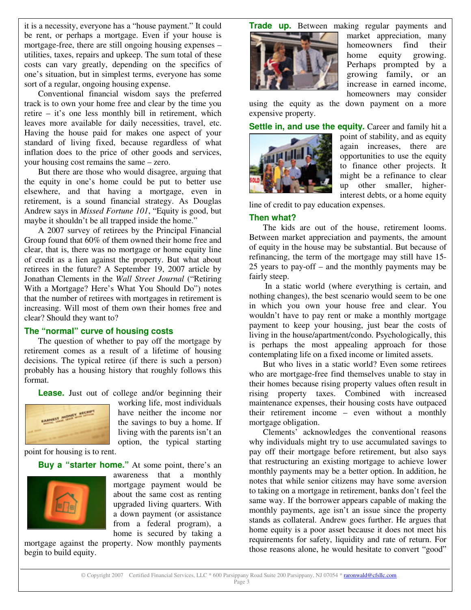it is a necessity, everyone has a "house payment." It could be rent, or perhaps a mortgage. Even if your house is mortgage-free, there are still ongoing housing expenses – utilities, taxes, repairs and upkeep. The sum total of these costs can vary greatly, depending on the specifics of one's situation, but in simplest terms, everyone has some sort of a regular, ongoing housing expense.

Conventional financial wisdom says the preferred track is to own your home free and clear by the time you retire – it's one less monthly bill in retirement, which leaves more available for daily necessities, travel, etc. Having the house paid for makes one aspect of your standard of living fixed, because regardless of what inflation does to the price of other goods and services, your housing cost remains the same – zero.

But there are those who would disagree, arguing that the equity in one's home could be put to better use elsewhere, and that having a mortgage, even in retirement, is a sound financial strategy. As Douglas Andrew says in *Missed Fortune 101*, "Equity is good, but maybe it shouldn't be all trapped inside the home."

A 2007 survey of retirees by the Principal Financial Group found that 60% of them owned their home free and clear, that is, there was no mortgage or home equity line of credit as a lien against the property. But what about retirees in the future? A September 19, 2007 article by Jonathan Clements in the *Wall Street Journal* ("Retiring With a Mortgage? Here's What You Should Do") notes that the number of retirees with mortgages in retirement is increasing. Will most of them own their homes free and clear? Should they want to?

## **The "normal" curve of housing costs**

The question of whether to pay off the mortgage by retirement comes as a result of a lifetime of housing decisions. The typical retiree (if there is such a person) probably has a housing history that roughly follows this format.

**Lease.** Just out of college and/or beginning their



working life, most individuals have neither the income nor the savings to buy a home. If living with the parents isn't an option, the typical starting

point for housing is to rent.

#### **Buy a "starter home."** At some point, there's an



awareness that a monthly mortgage payment would be about the same cost as renting upgraded living quarters. With a down payment (or assistance from a federal program), a home is secured by taking a

mortgage against the property. Now monthly payments begin to build equity.





market appreciation, many homeowners find their home equity growing. Perhaps prompted by a growing family, or an increase in earned income, homeowners may consider

using the equity as the down payment on a more expensive property.

**Settle in, and use the equity.** Career and family hit a



point of stability, and as equity again increases, there are opportunities to use the equity to finance other projects. It might be a refinance to clear up other smaller, higherinterest debts, or a home equity

line of credit to pay education expenses.

#### **Then what?**

The kids are out of the house, retirement looms. Between market appreciation and payments, the amount of equity in the house may be substantial. But because of refinancing, the term of the mortgage may still have 15- 25 years to pay-off – and the monthly payments may be fairly steep.

In a static world (where everything is certain, and nothing changes), the best scenario would seem to be one in which you own your house free and clear. You wouldn't have to pay rent or make a monthly mortgage payment to keep your housing, just bear the costs of living in the house/apartment/condo. Psychologically, this is perhaps the most appealing approach for those contemplating life on a fixed income or limited assets.

But who lives in a static world? Even some retirees who are mortgage-free find themselves unable to stay in their homes because rising property values often result in rising property taxes. Combined with increased maintenance expenses, their housing costs have outpaced their retirement income – even without a monthly mortgage obligation.

Clements' acknowledges the conventional reasons why individuals might try to use accumulated savings to pay off their mortgage before retirement, but also says that restructuring an existing mortgage to achieve lower monthly payments may be a better option. In addition, he notes that while senior citizens may have some aversion to taking on a mortgage in retirement, banks don't feel the same way. If the borrower appears capable of making the monthly payments, age isn't an issue since the property stands as collateral. Andrew goes further. He argues that home equity is a poor asset because it does not meet his requirements for safety, liquidity and rate of return. For those reasons alone, he would hesitate to convert "good"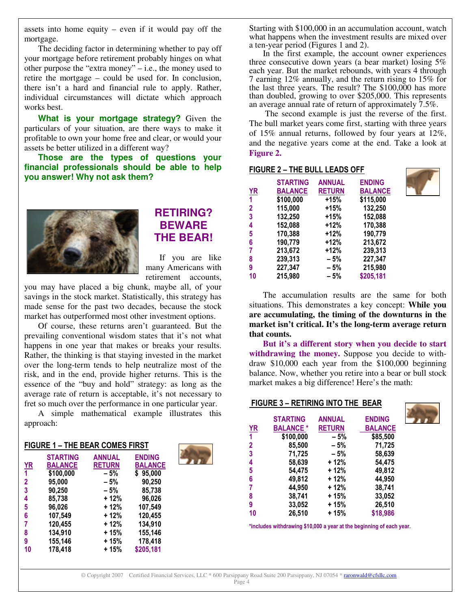assets into home equity – even if it would pay off the mortgage.

The deciding factor in determining whether to pay off your mortgage before retirement probably hinges on what other purpose the "extra money" – i.e., the money used to retire the mortgage – could be used for. In conclusion, there isn't a hard and financial rule to apply. Rather, individual circumstances will dictate which approach works best.

**What is your mortgage strategy?** Given the particulars of your situation, are there ways to make it profitable to own your home free and clear, or would your assets be better utilized in a different way?

**Those are the types of questions your financial professionals should be able to help you answer! Why not ask them?**



# **RETIRING? BEWARE THE BEAR!**

If you are like many Americans with retirement accounts,

you may have placed a big chunk, maybe all, of your savings in the stock market. Statistically, this strategy has made sense for the past two decades, because the stock market has outperformed most other investment options.

Of course, these returns aren't guaranteed. But the prevailing conventional wisdom states that it's not what happens in one year that makes or breaks your results. Rather, the thinking is that staying invested in the market over the long-term tends to help neutralize most of the risk, and in the end, provide higher returns. This is the essence of the "buy and hold" strategy: as long as the average rate of return is acceptable, it's not necessary to fret so much over the performance in one particular year.

A simple mathematical example illustrates this approach:

| <b>FIGURE 1 - THE BEAR COMES FIRST</b> |                 |               |                |  |  |  |
|----------------------------------------|-----------------|---------------|----------------|--|--|--|
|                                        | <b>STARTING</b> | <b>ANNUAL</b> | <b>ENDING</b>  |  |  |  |
| <b>YR</b>                              | <b>BALANCE</b>  | <b>RETURN</b> | <b>BALANCE</b> |  |  |  |
| 1                                      | \$100,000       | - 5%          | \$95,000       |  |  |  |
| 2                                      | 95,000          | - 5%          | 90,250         |  |  |  |
| 3                                      | 90,250          | - 5%          | 85,738         |  |  |  |
| 4                                      | 85,738          | + 12%         | 96,026         |  |  |  |
| 5                                      | 96,026          | + 12%         | 107,549        |  |  |  |
| 6                                      | 107,549         | + 12%         | 120,455        |  |  |  |
| 7                                      | 120,455         | + 12%         | 134,910        |  |  |  |
| 8                                      | 134,910         | + 15%         | 155,146        |  |  |  |
| 9                                      | 155,146         | + 15%         | 178,418        |  |  |  |
| 10                                     | 178,418         | $+15%$        | \$205,181      |  |  |  |



Starting with \$100,000 in an accumulation account, watch what happens when the investment results are mixed over a ten-year period (Figures 1 and 2).

In the first example, the account owner experiences three consecutive down years (a bear market) losing 5% each year. But the market rebounds, with years 4 through 7 earning 12% annually, and the return rising to 15% for the last three years. The result? The \$100,000 has more than doubled, growing to over \$205,000. This represents an average annual rate of return of approximately 7.5%.

The second example is just the reverse of the first. The bull market years come first, starting with three years of 15% annual returns, followed by four years at 12%, and the negative years come at the end. Take a look at **Figure 2.**

## FIGURE 2 - THE BULL LEADS OFF

|                |                                       | <b>ENDING</b>  |
|----------------|---------------------------------------|----------------|
| <b>BALANCE</b> | <b>RETURN</b>                         | <b>BALANCE</b> |
| \$100,000      | $+15%$                                | \$115,000      |
| 115,000        | $+15%$                                | 132,250        |
| 132,250        | $+15%$                                | 152,088        |
| 152,088        | +12%                                  | 170,388        |
| 170,388        | $+12%$                                | 190,779        |
| 190,779        | $+12%$                                | 213,672        |
| 213,672        | +12%                                  | 239,313        |
|                | $-5%$                                 | 227,347        |
|                | - 5%                                  | 215,980        |
| 215,980        | - 5%                                  | \$205,181      |
|                | <b>STARTING</b><br>239,313<br>227,347 | <b>ANNUAL</b>  |



The accumulation results are the same for both situations. This demonstrates a key concept: **While you are accumulating, the timing of the downturns in the market isn't critical. It's the long-term average return that counts.**

**But it's a different story when you decide to start withdrawing the money.** Suppose you decide to withdraw \$10,000 each year from the \$100,000 beginning balance. Now, whether you retire into a bear or bull stock market makes a big difference! Here's the math:

#### FIGURE 3 - RETIRING INTO THE BEAR

|                | <b>STARTING</b>  | <b>ANNUAL</b> | <b>ENDING</b>  |  |
|----------------|------------------|---------------|----------------|--|
| <b>YR</b>      | <b>BALANCE *</b> | <b>RETURN</b> | <b>BALANCE</b> |  |
| 1              | \$100,000        | $-5%$         | \$85,500       |  |
| 2              | 85,500           | - 5%          | 71,725         |  |
| 3              | 71,725           | $-5%$         | 58,639         |  |
| 4              | 58,639           | + 12%         | 54,475         |  |
| 5              | 54,475           | + 12%         | 49,812         |  |
| 6              | 49,812           | + 12%         | 44,950         |  |
| $\overline{7}$ | 44,950           | + 12%         | 38,741         |  |
| 8              | 38,741           | + 15%         | 33,052         |  |
| 9              | 33,052           | + 15%         | 26,510         |  |
| 10             | 26,510           | + 15%         | \$18,986       |  |
|                |                  |               |                |  |

 $*$ includes withdrawing \$10,000 a year at the beginning of each year.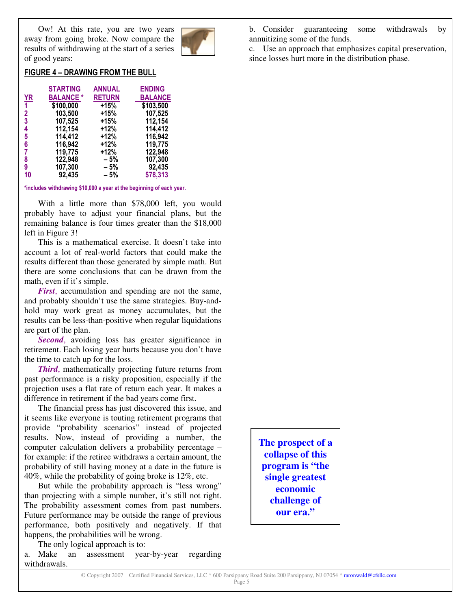Ow! At this rate, you are two years away from going broke. Now compare the results of withdrawing at the start of a series of good years:



# FIGURE 4 - DRAWING FROM THE BULL

|                | <b>STARTING</b> | <b>ANNUAL</b> | <b>ENDING</b>  |
|----------------|-----------------|---------------|----------------|
| <b>YR</b>      | <b>BALANCE*</b> | <b>RETURN</b> | <b>BALANCE</b> |
| $\overline{1}$ | \$100,000       | $+15%$        | \$103,500      |
| $\mathbf{2}$   | 103,500         | +15%          | 107,525        |
| $\overline{3}$ | 107,525         | +15%          | 112,154        |
| 4              | 112,154         | $+12%$        | 114,412        |
| 5              | 114,412         | +12%          | 116,942        |
| 6              | 116,942         | +12%          | 119,775        |
| $\overline{7}$ | 119,775         | +12%          | 122,948        |
| 8              | 122,948         | - 5%          | 107,300        |
| 9              | 107,300         | - 5%          | 92,435         |
| 10             | 92,435          | - 5%          | \$78,313       |

 $*$ includes withdrawing \$10,000 a year at the beginning of each year.

With a little more than \$78,000 left, you would probably have to adjust your financial plans, but the remaining balance is four times greater than the \$18,000 left in Figure 3!

This is a mathematical exercise. It doesn't take into account a lot of real-world factors that could make the results different than those generated by simple math. But there are some conclusions that can be drawn from the math, even if it's simple.

*First*, accumulation and spending are not the same, and probably shouldn't use the same strategies. Buy-andhold may work great as money accumulates, but the results can be less-than-positive when regular liquidations are part of the plan.

*Second*, avoiding loss has greater significance in retirement. Each losing year hurts because you don't have the time to catch up for the loss.

*Third*, mathematically projecting future returns from past performance is a risky proposition, especially if the projection uses a flat rate of return each year. It makes a difference in retirement if the bad years come first.

The financial press has just discovered this issue, and it seems like everyone is touting retirement programs that provide "probability scenarios" instead of projected results. Now, instead of providing a number, the computer calculation delivers a probability percentage – for example: if the retiree withdraws a certain amount, the probability of still having money at a date in the future is 40%, while the probability of going broke is 12%, etc.

But while the probability approach is "less wrong" than projecting with a simple number, it's still not right. The probability assessment comes from past numbers. Future performance may be outside the range of previous performance, both positively and negatively. If that happens, the probabilities will be wrong.

The only logical approach is to:

a. Make an assessment year-by-year regarding withdrawals.

b. Consider guaranteeing some withdrawals by annuitizing some of the funds.

c. Use an approach that emphasizes capital preservation, since losses hurt more in the distribution phase.

**The prospect of a collapse of this program is "the single greatest economic challenge of our era."**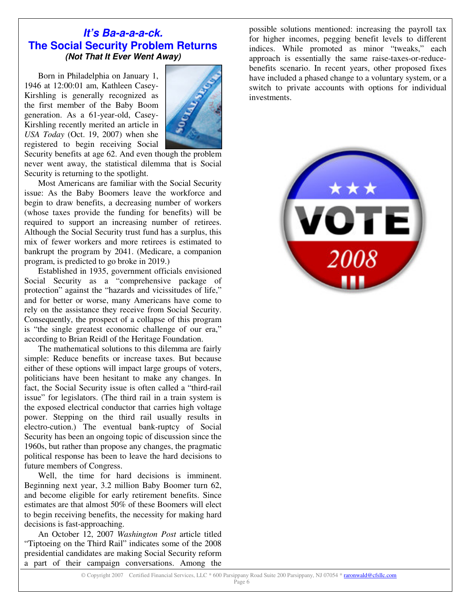# *It's Ba-a-a-a-ck.* **The Social Security Problem Returns** *(Not That It Ever Went Away)*

Born in Philadelphia on January 1, 1946 at 12:00:01 am, Kathleen Casey-Kirshling is generally recognized as the first member of the Baby Boom generation. As a 61-year-old, Casey-Kirshling recently merited an article in *USA Today* (Oct. 19, 2007) when she registered to begin receiving Social



Security benefits at age 62. And even though the problem never went away, the statistical dilemma that is Social Security is returning to the spotlight.

Most Americans are familiar with the Social Security issue: As the Baby Boomers leave the workforce and begin to draw benefits, a decreasing number of workers (whose taxes provide the funding for benefits) will be required to support an increasing number of retirees. Although the Social Security trust fund has a surplus, this mix of fewer workers and more retirees is estimated to bankrupt the program by 2041. (Medicare, a companion program, is predicted to go broke in 2019.)

Established in 1935, government officials envisioned Social Security as a "comprehensive package of protection" against the "hazards and vicissitudes of life," and for better or worse, many Americans have come to rely on the assistance they receive from Social Security. Consequently, the prospect of a collapse of this program is "the single greatest economic challenge of our era," according to Brian Reidl of the Heritage Foundation.

The mathematical solutions to this dilemma are fairly simple: Reduce benefits or increase taxes. But because either of these options will impact large groups of voters, politicians have been hesitant to make any changes. In fact, the Social Security issue is often called a "third-rail issue" for legislators. (The third rail in a train system is the exposed electrical conductor that carries high voltage power. Stepping on the third rail usually results in electro-cution.) The eventual bank-ruptcy of Social Security has been an ongoing topic of discussion since the 1960s, but rather than propose any changes, the pragmatic political response has been to leave the hard decisions to future members of Congress.

Well, the time for hard decisions is imminent. Beginning next year, 3.2 million Baby Boomer turn 62, and become eligible for early retirement benefits. Since estimates are that almost 50% of these Boomers will elect to begin receiving benefits, the necessity for making hard decisions is fast-approaching.

An October 12, 2007 *Washington Post* article titled "Tiptoeing on the Third Rail" indicates some of the 2008 presidential candidates are making Social Security reform a part of their campaign conversations. Among the

possible solutions mentioned: increasing the payroll tax for higher incomes, pegging benefit levels to different indices. While promoted as minor "tweaks," each approach is essentially the same raise-taxes-or-reducebenefits scenario. In recent years, other proposed fixes have included a phased change to a voluntary system, or a switch to private accounts with options for individual investments.